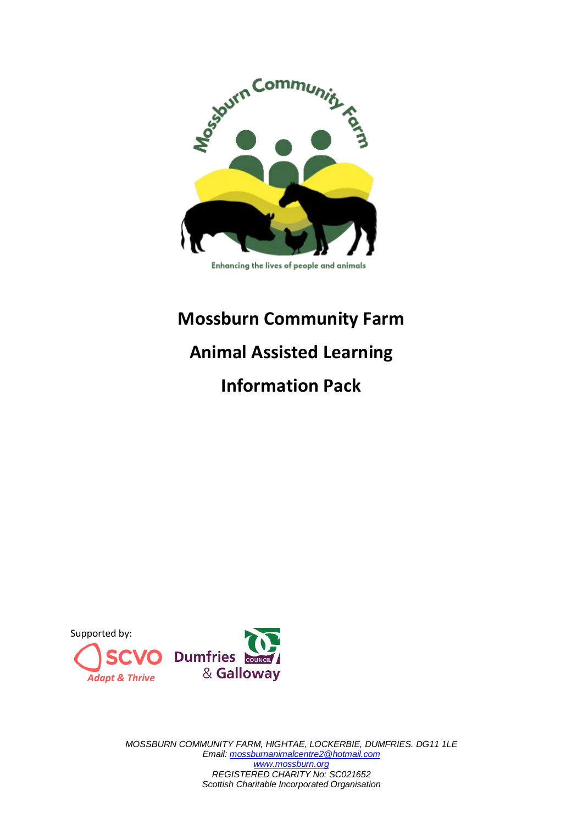

#### Enhancing the lives of people and animals

# **Mossburn Community Farm Animal Assisted Learning**

## **Information Pack**



*MOSSBURN COMMUNITY FARM, HIGHTAE, LOCKERBIE, DUMFRIES. DG11 1LE Email[: mossburnanimalcentre2@hotmail.com](about:blank) [www.mossburn.org](about:blank) REGISTERED CHARITY No: SC021652 Scottish Charitable Incorporated Organisation*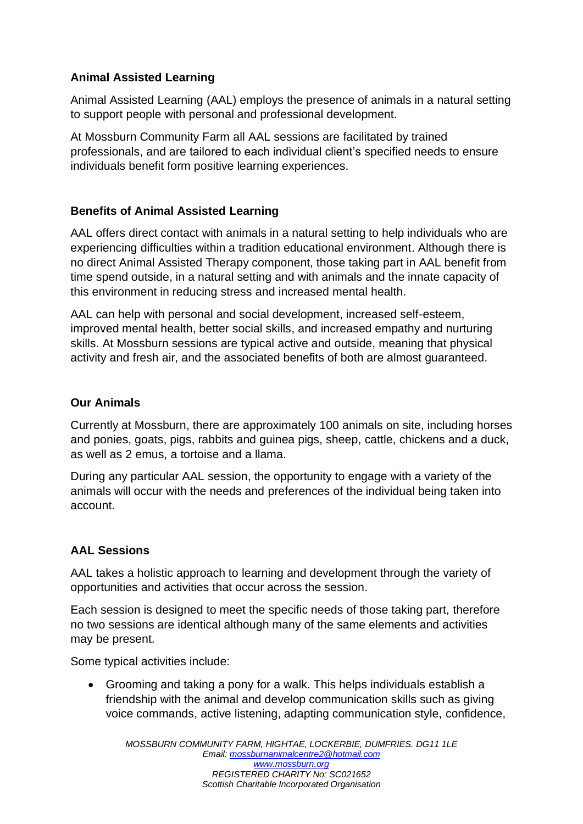### **Animal Assisted Learning**

Animal Assisted Learning (AAL) employs the presence of animals in a natural setting to support people with personal and professional development.

At Mossburn Community Farm all AAL sessions are facilitated by trained professionals, and are tailored to each individual client's specified needs to ensure individuals benefit form positive learning experiences.

#### **Benefits of Animal Assisted Learning**

AAL offers direct contact with animals in a natural setting to help individuals who are experiencing difficulties within a tradition educational environment. Although there is no direct Animal Assisted Therapy component, those taking part in AAL benefit from time spend outside, in a natural setting and with animals and the innate capacity of this environment in reducing stress and increased mental health.

AAL can help with personal and social development, increased self-esteem, improved mental health, better social skills, and increased empathy and nurturing skills. At Mossburn sessions are typical active and outside, meaning that physical activity and fresh air, and the associated benefits of both are almost guaranteed.

#### **Our Animals**

Currently at Mossburn, there are approximately 100 animals on site, including horses and ponies, goats, pigs, rabbits and guinea pigs, sheep, cattle, chickens and a duck, as well as 2 emus, a tortoise and a llama.

During any particular AAL session, the opportunity to engage with a variety of the animals will occur with the needs and preferences of the individual being taken into account.

#### **AAL Sessions**

AAL takes a holistic approach to learning and development through the variety of opportunities and activities that occur across the session.

Each session is designed to meet the specific needs of those taking part, therefore no two sessions are identical although many of the same elements and activities may be present.

Some typical activities include:

• Grooming and taking a pony for a walk. This helps individuals establish a friendship with the animal and develop communication skills such as giving voice commands, active listening, adapting communication style, confidence,